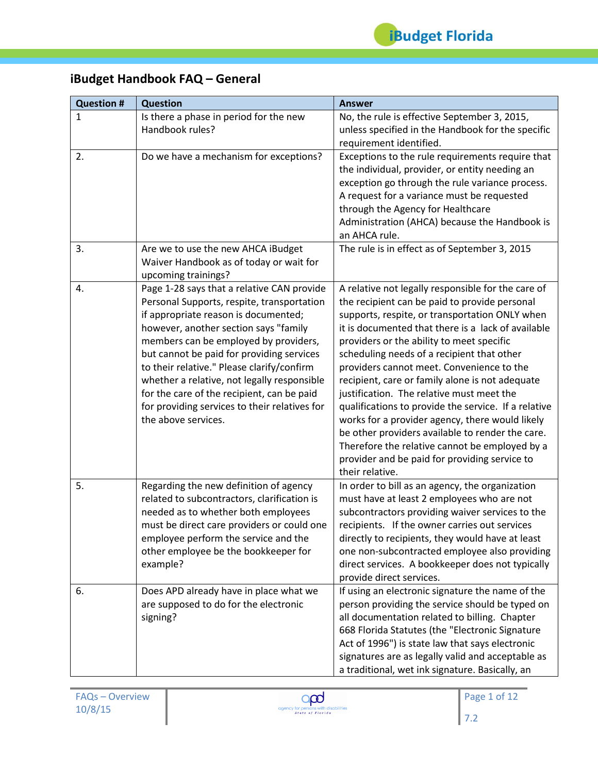# **iBudget Handbook FAQ – General**

| <b>Question #</b> | <b>Question</b>                                                                                                                                                                                                                                                                                                                                                                                                                                                                    | <b>Answer</b>                                                                                                                                                                                                                                                                                                                                                                                                                                                                                                                                                                                                                                                                                                                            |
|-------------------|------------------------------------------------------------------------------------------------------------------------------------------------------------------------------------------------------------------------------------------------------------------------------------------------------------------------------------------------------------------------------------------------------------------------------------------------------------------------------------|------------------------------------------------------------------------------------------------------------------------------------------------------------------------------------------------------------------------------------------------------------------------------------------------------------------------------------------------------------------------------------------------------------------------------------------------------------------------------------------------------------------------------------------------------------------------------------------------------------------------------------------------------------------------------------------------------------------------------------------|
| $\mathbf{1}$      | Is there a phase in period for the new<br>Handbook rules?                                                                                                                                                                                                                                                                                                                                                                                                                          | No, the rule is effective September 3, 2015,<br>unless specified in the Handbook for the specific<br>requirement identified.                                                                                                                                                                                                                                                                                                                                                                                                                                                                                                                                                                                                             |
| 2.<br>3.          | Do we have a mechanism for exceptions?<br>Are we to use the new AHCA iBudget                                                                                                                                                                                                                                                                                                                                                                                                       | Exceptions to the rule requirements require that<br>the individual, provider, or entity needing an<br>exception go through the rule variance process.<br>A request for a variance must be requested<br>through the Agency for Healthcare<br>Administration (AHCA) because the Handbook is<br>an AHCA rule.<br>The rule is in effect as of September 3, 2015                                                                                                                                                                                                                                                                                                                                                                              |
|                   | Waiver Handbook as of today or wait for<br>upcoming trainings?                                                                                                                                                                                                                                                                                                                                                                                                                     |                                                                                                                                                                                                                                                                                                                                                                                                                                                                                                                                                                                                                                                                                                                                          |
| 4.                | Page 1-28 says that a relative CAN provide<br>Personal Supports, respite, transportation<br>if appropriate reason is documented;<br>however, another section says "family<br>members can be employed by providers,<br>but cannot be paid for providing services<br>to their relative." Please clarify/confirm<br>whether a relative, not legally responsible<br>for the care of the recipient, can be paid<br>for providing services to their relatives for<br>the above services. | A relative not legally responsible for the care of<br>the recipient can be paid to provide personal<br>supports, respite, or transportation ONLY when<br>it is documented that there is a lack of available<br>providers or the ability to meet specific<br>scheduling needs of a recipient that other<br>providers cannot meet. Convenience to the<br>recipient, care or family alone is not adequate<br>justification. The relative must meet the<br>qualifications to provide the service. If a relative<br>works for a provider agency, there would likely<br>be other providers available to render the care.<br>Therefore the relative cannot be employed by a<br>provider and be paid for providing service to<br>their relative. |
| 5.                | Regarding the new definition of agency<br>related to subcontractors, clarification is<br>needed as to whether both employees<br>must be direct care providers or could one<br>employee perform the service and the<br>other employee be the bookkeeper for<br>example?                                                                                                                                                                                                             | In order to bill as an agency, the organization<br>must have at least 2 employees who are not<br>subcontractors providing waiver services to the<br>recipients. If the owner carries out services<br>directly to recipients, they would have at least<br>one non-subcontracted employee also providing<br>direct services. A bookkeeper does not typically<br>provide direct services.                                                                                                                                                                                                                                                                                                                                                   |
| 6.                | Does APD already have in place what we<br>are supposed to do for the electronic<br>signing?                                                                                                                                                                                                                                                                                                                                                                                        | If using an electronic signature the name of the<br>person providing the service should be typed on<br>all documentation related to billing. Chapter<br>668 Florida Statutes (the "Electronic Signature<br>Act of 1996") is state law that says electronic<br>signatures are as legally valid and acceptable as<br>a traditional, wet ink signature. Basically, an                                                                                                                                                                                                                                                                                                                                                                       |

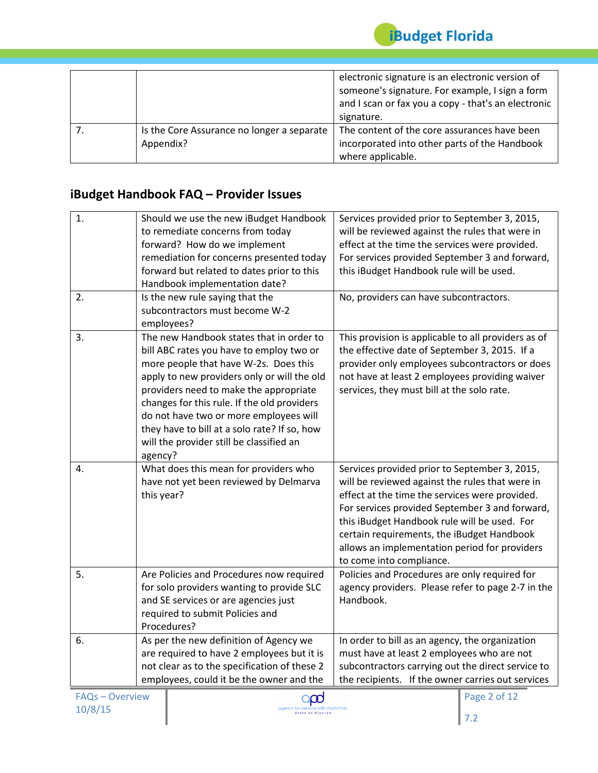

|                                                         | electronic signature is an electronic version of<br>someone's signature. For example, I sign a form<br>and I scan or fax you a copy - that's an electronic<br>signature. |
|---------------------------------------------------------|--------------------------------------------------------------------------------------------------------------------------------------------------------------------------|
| Is the Core Assurance no longer a separate<br>Appendix? | The content of the core assurances have been<br>incorporated into other parts of the Handbook<br>where applicable.                                                       |

### **iBudget Handbook FAQ – Provider Issues**

| $\overline{1}$ .<br>2. | Should we use the new iBudget Handbook<br>to remediate concerns from today<br>forward? How do we implement<br>remediation for concerns presented today<br>forward but related to dates prior to this<br>Handbook implementation date?<br>Is the new rule saying that the                                                                                                                                               | Services provided prior to September 3, 2015,<br>will be reviewed against the rules that were in<br>effect at the time the services were provided.<br>For services provided September 3 and forward,<br>this iBudget Handbook rule will be used.<br>No, providers can have subcontractors.                                                                                      |
|------------------------|------------------------------------------------------------------------------------------------------------------------------------------------------------------------------------------------------------------------------------------------------------------------------------------------------------------------------------------------------------------------------------------------------------------------|---------------------------------------------------------------------------------------------------------------------------------------------------------------------------------------------------------------------------------------------------------------------------------------------------------------------------------------------------------------------------------|
|                        | subcontractors must become W-2<br>employees?                                                                                                                                                                                                                                                                                                                                                                           |                                                                                                                                                                                                                                                                                                                                                                                 |
| 3.                     | The new Handbook states that in order to<br>bill ABC rates you have to employ two or<br>more people that have W-2s. Does this<br>apply to new providers only or will the old<br>providers need to make the appropriate<br>changes for this rule. If the old providers<br>do not have two or more employees will<br>they have to bill at a solo rate? If so, how<br>will the provider still be classified an<br>agency? | This provision is applicable to all providers as of<br>the effective date of September 3, 2015. If a<br>provider only employees subcontractors or does<br>not have at least 2 employees providing waiver<br>services, they must bill at the solo rate.                                                                                                                          |
| 4.                     | What does this mean for providers who<br>have not yet been reviewed by Delmarva<br>this year?                                                                                                                                                                                                                                                                                                                          | Services provided prior to September 3, 2015,<br>will be reviewed against the rules that were in<br>effect at the time the services were provided.<br>For services provided September 3 and forward,<br>this iBudget Handbook rule will be used. For<br>certain requirements, the iBudget Handbook<br>allows an implementation period for providers<br>to come into compliance. |
| 5.                     | Are Policies and Procedures now required<br>for solo providers wanting to provide SLC<br>and SE services or are agencies just<br>required to submit Policies and<br>Procedures?                                                                                                                                                                                                                                        | Policies and Procedures are only required for<br>agency providers. Please refer to page 2-7 in the<br>Handbook.                                                                                                                                                                                                                                                                 |
| 6.                     | As per the new definition of Agency we<br>are required to have 2 employees but it is<br>not clear as to the specification of these 2<br>employees, could it be the owner and the                                                                                                                                                                                                                                       | In order to bill as an agency, the organization<br>must have at least 2 employees who are not<br>subcontractors carrying out the direct service to<br>the recipients. If the owner carries out services                                                                                                                                                                         |

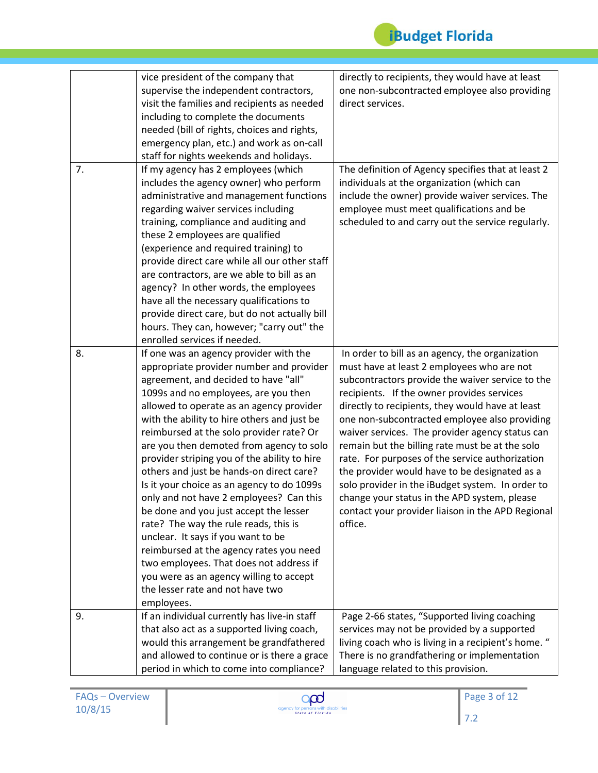

|    | vice president of the company that            | directly to recipients, they would have at least    |
|----|-----------------------------------------------|-----------------------------------------------------|
|    | supervise the independent contractors,        | one non-subcontracted employee also providing       |
|    | visit the families and recipients as needed   | direct services.                                    |
|    | including to complete the documents           |                                                     |
|    | needed (bill of rights, choices and rights,   |                                                     |
|    | emergency plan, etc.) and work as on-call     |                                                     |
|    | staff for nights weekends and holidays.       |                                                     |
| 7. | If my agency has 2 employees (which           | The definition of Agency specifies that at least 2  |
|    | includes the agency owner) who perform        | individuals at the organization (which can          |
|    | administrative and management functions       | include the owner) provide waiver services. The     |
|    | regarding waiver services including           | employee must meet qualifications and be            |
|    | training, compliance and auditing and         | scheduled to and carry out the service regularly.   |
|    | these 2 employees are qualified               |                                                     |
|    | (experience and required training) to         |                                                     |
|    | provide direct care while all our other staff |                                                     |
|    | are contractors, are we able to bill as an    |                                                     |
|    | agency? In other words, the employees         |                                                     |
|    | have all the necessary qualifications to      |                                                     |
|    | provide direct care, but do not actually bill |                                                     |
|    | hours. They can, however; "carry out" the     |                                                     |
|    | enrolled services if needed.                  |                                                     |
| 8. | If one was an agency provider with the        | In order to bill as an agency, the organization     |
|    | appropriate provider number and provider      | must have at least 2 employees who are not          |
|    | agreement, and decided to have "all"          | subcontractors provide the waiver service to the    |
|    | 1099s and no employees, are you then          | recipients. If the owner provides services          |
|    | allowed to operate as an agency provider      | directly to recipients, they would have at least    |
|    | with the ability to hire others and just be   | one non-subcontracted employee also providing       |
|    | reimbursed at the solo provider rate? Or      | waiver services. The provider agency status can     |
|    | are you then demoted from agency to solo      | remain but the billing rate must be at the solo     |
|    | provider striping you of the ability to hire  | rate. For purposes of the service authorization     |
|    | others and just be hands-on direct care?      | the provider would have to be designated as a       |
|    | Is it your choice as an agency to do 1099s    | solo provider in the iBudget system. In order to    |
|    | only and not have 2 employees? Can this       | change your status in the APD system, please        |
|    | be done and you just accept the lesser        | contact your provider liaison in the APD Regional   |
|    | rate? The way the rule reads, this is         | office.                                             |
|    | unclear. It says if you want to be            |                                                     |
|    | reimbursed at the agency rates you need       |                                                     |
|    | two employees. That does not address if       |                                                     |
|    | you were as an agency willing to accept       |                                                     |
|    | the lesser rate and not have two              |                                                     |
|    | employees.                                    |                                                     |
| 9. | If an individual currently has live-in staff  | Page 2-66 states, "Supported living coaching        |
|    | that also act as a supported living coach,    | services may not be provided by a supported         |
|    | would this arrangement be grandfathered       | living coach who is living in a recipient's home. " |
|    | and allowed to continue or is there a grace   | There is no grandfathering or implementation        |
|    | period in which to come into compliance?      | language related to this provision.                 |

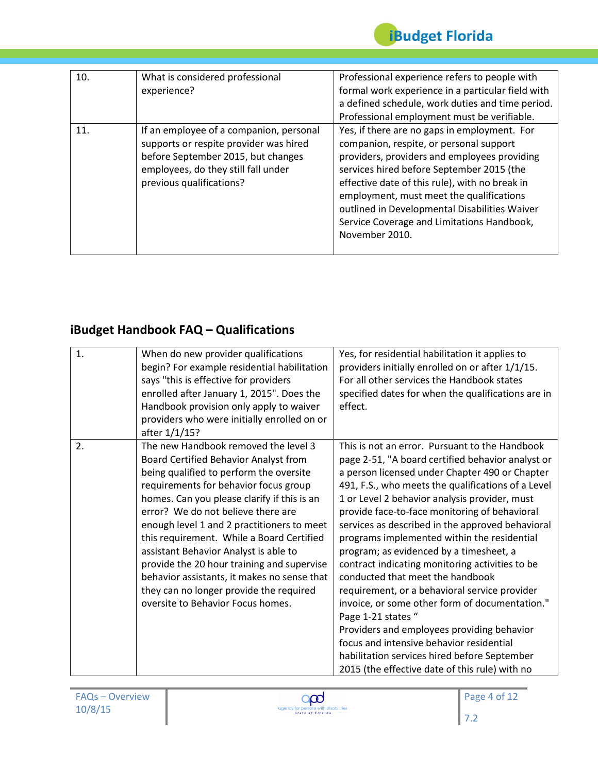

| 10. | What is considered professional<br>experience?                                                                                                                                             | Professional experience refers to people with<br>formal work experience in a particular field with<br>a defined schedule, work duties and time period.<br>Professional employment must be verifiable.                                                                                                                                                                                               |
|-----|--------------------------------------------------------------------------------------------------------------------------------------------------------------------------------------------|-----------------------------------------------------------------------------------------------------------------------------------------------------------------------------------------------------------------------------------------------------------------------------------------------------------------------------------------------------------------------------------------------------|
| 11. | If an employee of a companion, personal<br>supports or respite provider was hired<br>before September 2015, but changes<br>employees, do they still fall under<br>previous qualifications? | Yes, if there are no gaps in employment. For<br>companion, respite, or personal support<br>providers, providers and employees providing<br>services hired before September 2015 (the<br>effective date of this rule), with no break in<br>employment, must meet the qualifications<br>outlined in Developmental Disabilities Waiver<br>Service Coverage and Limitations Handbook,<br>November 2010. |

### **iBudget Handbook FAQ – Qualifications**

| 1. | When do new provider qualifications<br>begin? For example residential habilitation<br>says "this is effective for providers<br>enrolled after January 1, 2015". Does the<br>Handbook provision only apply to waiver<br>providers who were initially enrolled on or<br>after 1/1/15?                                                                                                                                                                                                                                                                                     | Yes, for residential habilitation it applies to<br>providers initially enrolled on or after 1/1/15.<br>For all other services the Handbook states<br>specified dates for when the qualifications are in<br>effect.                                                                                                                                                                                                                                                                                                                                                                                                                                                                                                                                                                                                                                                      |
|----|-------------------------------------------------------------------------------------------------------------------------------------------------------------------------------------------------------------------------------------------------------------------------------------------------------------------------------------------------------------------------------------------------------------------------------------------------------------------------------------------------------------------------------------------------------------------------|-------------------------------------------------------------------------------------------------------------------------------------------------------------------------------------------------------------------------------------------------------------------------------------------------------------------------------------------------------------------------------------------------------------------------------------------------------------------------------------------------------------------------------------------------------------------------------------------------------------------------------------------------------------------------------------------------------------------------------------------------------------------------------------------------------------------------------------------------------------------------|
| 2. | The new Handbook removed the level 3<br>Board Certified Behavior Analyst from<br>being qualified to perform the oversite<br>requirements for behavior focus group<br>homes. Can you please clarify if this is an<br>error? We do not believe there are<br>enough level 1 and 2 practitioners to meet<br>this requirement. While a Board Certified<br>assistant Behavior Analyst is able to<br>provide the 20 hour training and supervise<br>behavior assistants, it makes no sense that<br>they can no longer provide the required<br>oversite to Behavior Focus homes. | This is not an error. Pursuant to the Handbook<br>page 2-51, "A board certified behavior analyst or<br>a person licensed under Chapter 490 or Chapter<br>491, F.S., who meets the qualifications of a Level<br>1 or Level 2 behavior analysis provider, must<br>provide face-to-face monitoring of behavioral<br>services as described in the approved behavioral<br>programs implemented within the residential<br>program; as evidenced by a timesheet, a<br>contract indicating monitoring activities to be<br>conducted that meet the handbook<br>requirement, or a behavioral service provider<br>invoice, or some other form of documentation."<br>Page 1-21 states "<br>Providers and employees providing behavior<br>focus and intensive behavior residential<br>habilitation services hired before September<br>2015 (the effective date of this rule) with no |

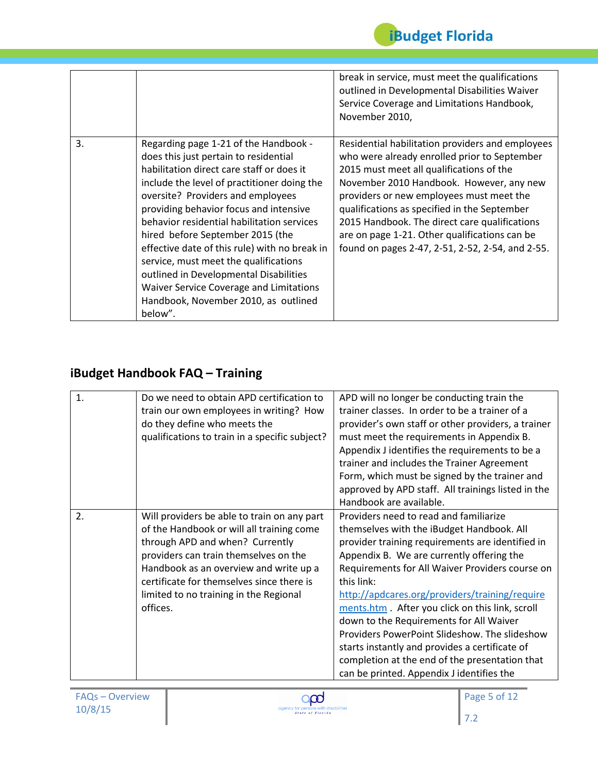|    |                                                                                                                                                                                                                                                                                                                                                                                                                                                                                                                                                                               | break in service, must meet the qualifications<br>outlined in Developmental Disabilities Waiver<br>Service Coverage and Limitations Handbook,<br>November 2010,                                                                                                                                                                                                                                                                            |
|----|-------------------------------------------------------------------------------------------------------------------------------------------------------------------------------------------------------------------------------------------------------------------------------------------------------------------------------------------------------------------------------------------------------------------------------------------------------------------------------------------------------------------------------------------------------------------------------|--------------------------------------------------------------------------------------------------------------------------------------------------------------------------------------------------------------------------------------------------------------------------------------------------------------------------------------------------------------------------------------------------------------------------------------------|
| 3. | Regarding page 1-21 of the Handbook -<br>does this just pertain to residential<br>habilitation direct care staff or does it<br>include the level of practitioner doing the<br>oversite? Providers and employees<br>providing behavior focus and intensive<br>behavior residential habilitation services<br>hired before September 2015 (the<br>effective date of this rule) with no break in<br>service, must meet the qualifications<br>outlined in Developmental Disabilities<br>Waiver Service Coverage and Limitations<br>Handbook, November 2010, as outlined<br>below". | Residential habilitation providers and employees<br>who were already enrolled prior to September<br>2015 must meet all qualifications of the<br>November 2010 Handbook. However, any new<br>providers or new employees must meet the<br>qualifications as specified in the September<br>2015 Handbook. The direct care qualifications<br>are on page 1-21. Other qualifications can be<br>found on pages 2-47, 2-51, 2-52, 2-54, and 2-55. |

### **iBudget Handbook FAQ – Training**

| $\mathbf{1}$ . | Do we need to obtain APD certification to<br>train our own employees in writing? How<br>do they define who meets the<br>qualifications to train in a specific subject?                                                                                                                                            | APD will no longer be conducting train the<br>trainer classes. In order to be a trainer of a<br>provider's own staff or other providers, a trainer<br>must meet the requirements in Appendix B.<br>Appendix J identifies the requirements to be a<br>trainer and includes the Trainer Agreement<br>Form, which must be signed by the trainer and<br>approved by APD staff. All trainings listed in the<br>Handbook are available.                                                                                                                                                                       |
|----------------|-------------------------------------------------------------------------------------------------------------------------------------------------------------------------------------------------------------------------------------------------------------------------------------------------------------------|---------------------------------------------------------------------------------------------------------------------------------------------------------------------------------------------------------------------------------------------------------------------------------------------------------------------------------------------------------------------------------------------------------------------------------------------------------------------------------------------------------------------------------------------------------------------------------------------------------|
| 2.             | Will providers be able to train on any part<br>of the Handbook or will all training come<br>through APD and when? Currently<br>providers can train themselves on the<br>Handbook as an overview and write up a<br>certificate for themselves since there is<br>limited to no training in the Regional<br>offices. | Providers need to read and familiarize<br>themselves with the iBudget Handbook. All<br>provider training requirements are identified in<br>Appendix B. We are currently offering the<br>Requirements for All Waiver Providers course on<br>this link:<br>http://apdcares.org/providers/training/require<br>ments.htm. After you click on this link, scroll<br>down to the Requirements for All Waiver<br>Providers PowerPoint Slideshow. The slideshow<br>starts instantly and provides a certificate of<br>completion at the end of the presentation that<br>can be printed. Appendix J identifies the |

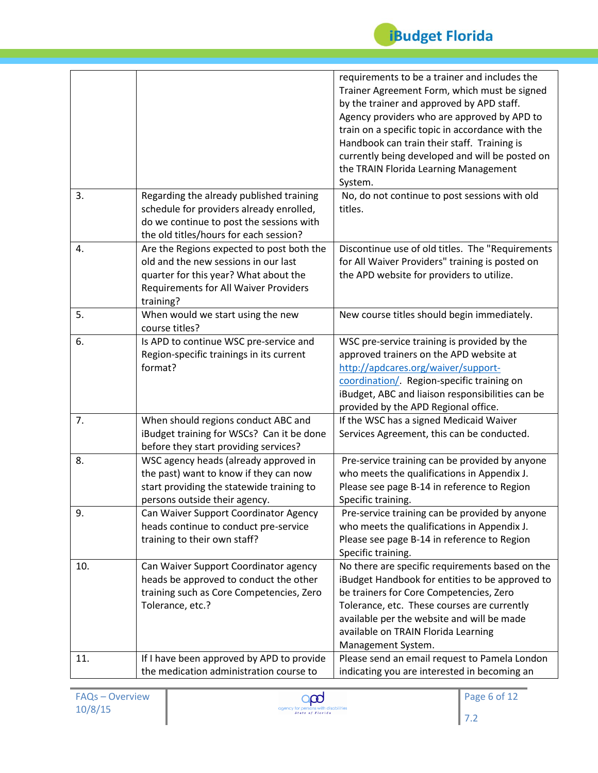

|     |                                                                                                                                                                                         | requirements to be a trainer and includes the<br>Trainer Agreement Form, which must be signed<br>by the trainer and approved by APD staff.<br>Agency providers who are approved by APD to<br>train on a specific topic in accordance with the<br>Handbook can train their staff. Training is<br>currently being developed and will be posted on<br>the TRAIN Florida Learning Management<br>System. |
|-----|-----------------------------------------------------------------------------------------------------------------------------------------------------------------------------------------|-----------------------------------------------------------------------------------------------------------------------------------------------------------------------------------------------------------------------------------------------------------------------------------------------------------------------------------------------------------------------------------------------------|
| 3.  | Regarding the already published training<br>schedule for providers already enrolled,<br>do we continue to post the sessions with<br>the old titles/hours for each session?              | No, do not continue to post sessions with old<br>titles.                                                                                                                                                                                                                                                                                                                                            |
| 4.  | Are the Regions expected to post both the<br>old and the new sessions in our last<br>quarter for this year? What about the<br><b>Requirements for All Waiver Providers</b><br>training? | Discontinue use of old titles. The "Requirements<br>for All Waiver Providers" training is posted on<br>the APD website for providers to utilize.                                                                                                                                                                                                                                                    |
| 5.  | When would we start using the new<br>course titles?                                                                                                                                     | New course titles should begin immediately.                                                                                                                                                                                                                                                                                                                                                         |
| 6.  | Is APD to continue WSC pre-service and<br>Region-specific trainings in its current<br>format?                                                                                           | WSC pre-service training is provided by the<br>approved trainers on the APD website at<br>http://apdcares.org/waiver/support-<br>coordination/. Region-specific training on<br>iBudget, ABC and liaison responsibilities can be<br>provided by the APD Regional office.                                                                                                                             |
| 7.  | When should regions conduct ABC and<br>iBudget training for WSCs? Can it be done<br>before they start providing services?                                                               | If the WSC has a signed Medicaid Waiver<br>Services Agreement, this can be conducted.                                                                                                                                                                                                                                                                                                               |
| 8.  | WSC agency heads (already approved in<br>the past) want to know if they can now<br>start providing the statewide training to<br>persons outside their agency.                           | Pre-service training can be provided by anyone<br>who meets the qualifications in Appendix J.<br>Please see page B-14 in reference to Region<br>Specific training.                                                                                                                                                                                                                                  |
| 9.  | Can Waiver Support Coordinator Agency<br>heads continue to conduct pre-service<br>training to their own staff?                                                                          | Pre-service training can be provided by anyone<br>who meets the qualifications in Appendix J.<br>Please see page B-14 in reference to Region<br>Specific training.                                                                                                                                                                                                                                  |
| 10. | Can Waiver Support Coordinator agency<br>heads be approved to conduct the other<br>training such as Core Competencies, Zero<br>Tolerance, etc.?                                         | No there are specific requirements based on the<br>iBudget Handbook for entities to be approved to<br>be trainers for Core Competencies, Zero<br>Tolerance, etc. These courses are currently<br>available per the website and will be made<br>available on TRAIN Florida Learning<br>Management System.                                                                                             |
| 11. | If I have been approved by APD to provide<br>the medication administration course to                                                                                                    | Please send an email request to Pamela London<br>indicating you are interested in becoming an                                                                                                                                                                                                                                                                                                       |

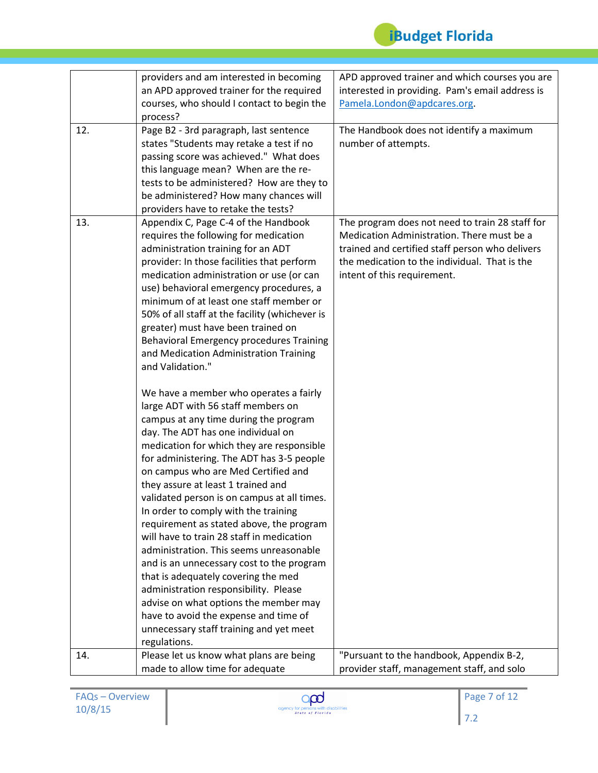

|     | providers and am interested in becoming                                                                                                                                                                                                                                                                                                                                                                                                                                                                                                                                                                                                                                                                                             | APD approved trainer and which courses you are                                                                                                                                                                                   |
|-----|-------------------------------------------------------------------------------------------------------------------------------------------------------------------------------------------------------------------------------------------------------------------------------------------------------------------------------------------------------------------------------------------------------------------------------------------------------------------------------------------------------------------------------------------------------------------------------------------------------------------------------------------------------------------------------------------------------------------------------------|----------------------------------------------------------------------------------------------------------------------------------------------------------------------------------------------------------------------------------|
|     | an APD approved trainer for the required                                                                                                                                                                                                                                                                                                                                                                                                                                                                                                                                                                                                                                                                                            | interested in providing. Pam's email address is                                                                                                                                                                                  |
|     | courses, who should I contact to begin the                                                                                                                                                                                                                                                                                                                                                                                                                                                                                                                                                                                                                                                                                          | Pamela.London@apdcares.org.                                                                                                                                                                                                      |
|     | process?                                                                                                                                                                                                                                                                                                                                                                                                                                                                                                                                                                                                                                                                                                                            |                                                                                                                                                                                                                                  |
| 12. | Page B2 - 3rd paragraph, last sentence                                                                                                                                                                                                                                                                                                                                                                                                                                                                                                                                                                                                                                                                                              | The Handbook does not identify a maximum                                                                                                                                                                                         |
|     | states "Students may retake a test if no                                                                                                                                                                                                                                                                                                                                                                                                                                                                                                                                                                                                                                                                                            | number of attempts.                                                                                                                                                                                                              |
|     | passing score was achieved." What does                                                                                                                                                                                                                                                                                                                                                                                                                                                                                                                                                                                                                                                                                              |                                                                                                                                                                                                                                  |
|     | this language mean? When are the re-                                                                                                                                                                                                                                                                                                                                                                                                                                                                                                                                                                                                                                                                                                |                                                                                                                                                                                                                                  |
|     | tests to be administered? How are they to                                                                                                                                                                                                                                                                                                                                                                                                                                                                                                                                                                                                                                                                                           |                                                                                                                                                                                                                                  |
|     | be administered? How many chances will                                                                                                                                                                                                                                                                                                                                                                                                                                                                                                                                                                                                                                                                                              |                                                                                                                                                                                                                                  |
|     | providers have to retake the tests?                                                                                                                                                                                                                                                                                                                                                                                                                                                                                                                                                                                                                                                                                                 |                                                                                                                                                                                                                                  |
| 13. | Appendix C, Page C-4 of the Handbook<br>requires the following for medication<br>administration training for an ADT<br>provider: In those facilities that perform<br>medication administration or use (or can<br>use) behavioral emergency procedures, a<br>minimum of at least one staff member or                                                                                                                                                                                                                                                                                                                                                                                                                                 | The program does not need to train 28 staff for<br>Medication Administration. There must be a<br>trained and certified staff person who delivers<br>the medication to the individual. That is the<br>intent of this requirement. |
|     | 50% of all staff at the facility (whichever is<br>greater) must have been trained on<br>Behavioral Emergency procedures Training<br>and Medication Administration Training<br>and Validation."                                                                                                                                                                                                                                                                                                                                                                                                                                                                                                                                      |                                                                                                                                                                                                                                  |
|     | We have a member who operates a fairly<br>large ADT with 56 staff members on<br>campus at any time during the program<br>day. The ADT has one individual on<br>medication for which they are responsible<br>for administering. The ADT has 3-5 people<br>on campus who are Med Certified and<br>they assure at least 1 trained and<br>validated person is on campus at all times.<br>In order to comply with the training<br>requirement as stated above, the program<br>will have to train 28 staff in medication<br>administration. This seems unreasonable<br>and is an unnecessary cost to the program<br>that is adequately covering the med<br>administration responsibility. Please<br>advise on what options the member may |                                                                                                                                                                                                                                  |
|     | have to avoid the expense and time of<br>unnecessary staff training and yet meet<br>regulations.                                                                                                                                                                                                                                                                                                                                                                                                                                                                                                                                                                                                                                    |                                                                                                                                                                                                                                  |
| 14. | Please let us know what plans are being                                                                                                                                                                                                                                                                                                                                                                                                                                                                                                                                                                                                                                                                                             | "Pursuant to the handbook, Appendix B-2,                                                                                                                                                                                         |
|     | made to allow time for adequate                                                                                                                                                                                                                                                                                                                                                                                                                                                                                                                                                                                                                                                                                                     | provider staff, management staff, and solo                                                                                                                                                                                       |

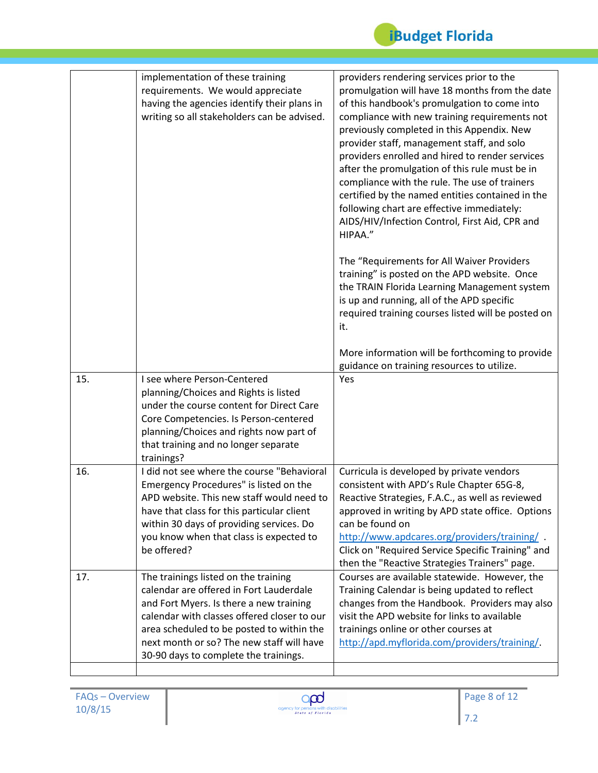

|     | implementation of these training<br>requirements. We would appreciate<br>having the agencies identify their plans in<br>writing so all stakeholders can be advised.                                                                                                                                          | providers rendering services prior to the<br>promulgation will have 18 months from the date<br>of this handbook's promulgation to come into<br>compliance with new training requirements not<br>previously completed in this Appendix. New<br>provider staff, management staff, and solo<br>providers enrolled and hired to render services<br>after the promulgation of this rule must be in<br>compliance with the rule. The use of trainers<br>certified by the named entities contained in the<br>following chart are effective immediately:<br>AIDS/HIV/Infection Control, First Aid, CPR and<br>HIPAA."<br>The "Requirements for All Waiver Providers<br>training" is posted on the APD website. Once<br>the TRAIN Florida Learning Management system |
|-----|--------------------------------------------------------------------------------------------------------------------------------------------------------------------------------------------------------------------------------------------------------------------------------------------------------------|-------------------------------------------------------------------------------------------------------------------------------------------------------------------------------------------------------------------------------------------------------------------------------------------------------------------------------------------------------------------------------------------------------------------------------------------------------------------------------------------------------------------------------------------------------------------------------------------------------------------------------------------------------------------------------------------------------------------------------------------------------------|
|     |                                                                                                                                                                                                                                                                                                              | is up and running, all of the APD specific<br>required training courses listed will be posted on<br>it.<br>More information will be forthcoming to provide<br>guidance on training resources to utilize.                                                                                                                                                                                                                                                                                                                                                                                                                                                                                                                                                    |
| 15. | I see where Person-Centered<br>planning/Choices and Rights is listed<br>under the course content for Direct Care<br>Core Competencies. Is Person-centered<br>planning/Choices and rights now part of<br>that training and no longer separate<br>trainings?                                                   | Yes                                                                                                                                                                                                                                                                                                                                                                                                                                                                                                                                                                                                                                                                                                                                                         |
| 16. | I did not see where the course "Behavioral<br>Emergency Procedures" is listed on the<br>APD website. This new staff would need to<br>have that class for this particular client<br>within 30 days of providing services. Do<br>you know when that class is expected to<br>be offered?                        | Curricula is developed by private vendors<br>consistent with APD's Rule Chapter 65G-8,<br>Reactive Strategies, F.A.C., as well as reviewed<br>approved in writing by APD state office. Options<br>can be found on<br>http://www.apdcares.org/providers/training/<br>Click on "Required Service Specific Training" and<br>then the "Reactive Strategies Trainers" page.                                                                                                                                                                                                                                                                                                                                                                                      |
| 17. | The trainings listed on the training<br>calendar are offered in Fort Lauderdale<br>and Fort Myers. Is there a new training<br>calendar with classes offered closer to our<br>area scheduled to be posted to within the<br>next month or so? The new staff will have<br>30-90 days to complete the trainings. | Courses are available statewide. However, the<br>Training Calendar is being updated to reflect<br>changes from the Handbook. Providers may also<br>visit the APD website for links to available<br>trainings online or other courses at<br>http://apd.myflorida.com/providers/training/                                                                                                                                                                                                                                                                                                                                                                                                                                                                     |

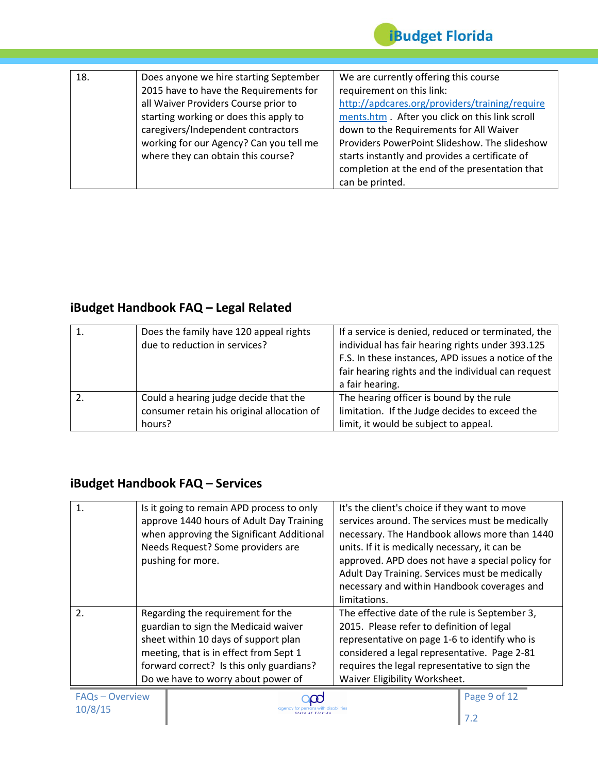

| 18. | Does anyone we hire starting September  | We are currently offering this course          |
|-----|-----------------------------------------|------------------------------------------------|
|     | 2015 have to have the Requirements for  | requirement on this link:                      |
|     | all Waiver Providers Course prior to    | http://apdcares.org/providers/training/require |
|     | starting working or does this apply to  | ments.htm. After you click on this link scroll |
|     | caregivers/Independent contractors      | down to the Requirements for All Waiver        |
|     | working for our Agency? Can you tell me | Providers PowerPoint Slideshow. The slideshow  |
|     | where they can obtain this course?      | starts instantly and provides a certificate of |
|     |                                         | completion at the end of the presentation that |
|     |                                         | can be printed.                                |

## **iBudget Handbook FAQ – Legal Related**

| Does the family have 120 appeal rights<br>due to reduction in services?                       | If a service is denied, reduced or terminated, the<br>individual has fair hearing rights under 393.125<br>F.S. In these instances, APD issues a notice of the<br>fair hearing rights and the individual can request<br>a fair hearing. |
|-----------------------------------------------------------------------------------------------|----------------------------------------------------------------------------------------------------------------------------------------------------------------------------------------------------------------------------------------|
| Could a hearing judge decide that the<br>consumer retain his original allocation of<br>hours? | The hearing officer is bound by the rule<br>limitation. If the Judge decides to exceed the<br>limit, it would be subject to appeal.                                                                                                    |

#### **iBudget Handbook FAQ – Services**

| 1.               | Is it going to remain APD process to only<br>approve 1440 hours of Adult Day Training<br>when approving the Significant Additional<br>Needs Request? Some providers are<br>pushing for more.                                                  | It's the client's choice if they want to move<br>services around. The services must be medically<br>necessary. The Handbook allows more than 1440<br>units. If it is medically necessary, it can be<br>approved. APD does not have a special policy for<br>Adult Day Training. Services must be medically<br>necessary and within Handbook coverages and |
|------------------|-----------------------------------------------------------------------------------------------------------------------------------------------------------------------------------------------------------------------------------------------|----------------------------------------------------------------------------------------------------------------------------------------------------------------------------------------------------------------------------------------------------------------------------------------------------------------------------------------------------------|
|                  |                                                                                                                                                                                                                                               | limitations.                                                                                                                                                                                                                                                                                                                                             |
| $\overline{2}$ . | Regarding the requirement for the<br>guardian to sign the Medicaid waiver<br>sheet within 10 days of support plan<br>meeting, that is in effect from Sept 1<br>forward correct? Is this only guardians?<br>Do we have to worry about power of | The effective date of the rule is September 3,<br>2015. Please refer to definition of legal<br>representative on page 1-6 to identify who is<br>considered a legal representative. Page 2-81<br>requires the legal representative to sign the<br>Waiver Eligibility Worksheet.                                                                           |

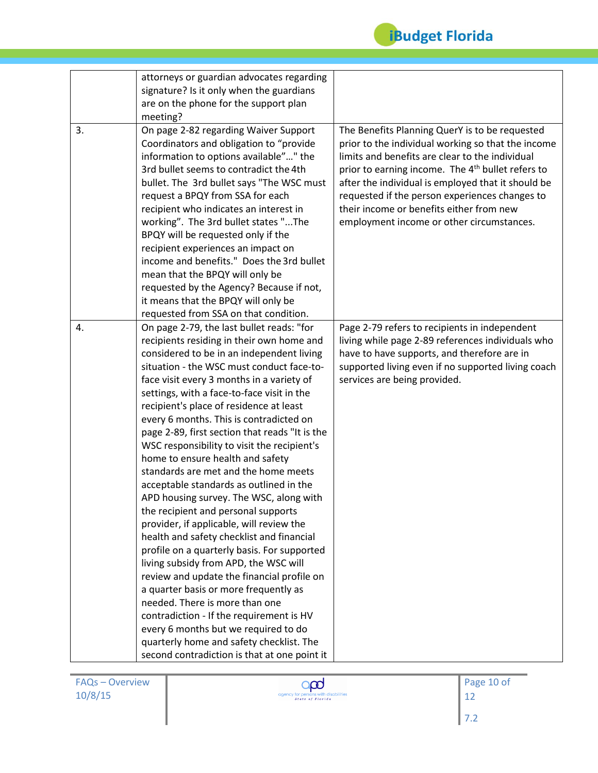

|    | attorneys or guardian advocates regarding<br>signature? Is it only when the guardians                                                                                                                                                                                                                                                                                                                                                                            |                                                                                                                                                                                                                                                                                                                                                                                                                           |
|----|------------------------------------------------------------------------------------------------------------------------------------------------------------------------------------------------------------------------------------------------------------------------------------------------------------------------------------------------------------------------------------------------------------------------------------------------------------------|---------------------------------------------------------------------------------------------------------------------------------------------------------------------------------------------------------------------------------------------------------------------------------------------------------------------------------------------------------------------------------------------------------------------------|
|    | are on the phone for the support plan                                                                                                                                                                                                                                                                                                                                                                                                                            |                                                                                                                                                                                                                                                                                                                                                                                                                           |
|    | meeting?                                                                                                                                                                                                                                                                                                                                                                                                                                                         |                                                                                                                                                                                                                                                                                                                                                                                                                           |
| 3. | On page 2-82 regarding Waiver Support<br>Coordinators and obligation to "provide<br>information to options available"" the<br>3rd bullet seems to contradict the 4th<br>bullet. The 3rd bullet says "The WSC must<br>request a BPQY from SSA for each<br>recipient who indicates an interest in<br>working". The 3rd bullet states "The<br>BPQY will be requested only if the<br>recipient experiences an impact on<br>income and benefits." Does the 3rd bullet | The Benefits Planning QuerY is to be requested<br>prior to the individual working so that the income<br>limits and benefits are clear to the individual<br>prior to earning income. The 4 <sup>th</sup> bullet refers to<br>after the individual is employed that it should be<br>requested if the person experiences changes to<br>their income or benefits either from new<br>employment income or other circumstances. |
|    | mean that the BPQY will only be                                                                                                                                                                                                                                                                                                                                                                                                                                  |                                                                                                                                                                                                                                                                                                                                                                                                                           |
|    | requested by the Agency? Because if not,                                                                                                                                                                                                                                                                                                                                                                                                                         |                                                                                                                                                                                                                                                                                                                                                                                                                           |
|    | it means that the BPQY will only be                                                                                                                                                                                                                                                                                                                                                                                                                              |                                                                                                                                                                                                                                                                                                                                                                                                                           |
|    | requested from SSA on that condition.                                                                                                                                                                                                                                                                                                                                                                                                                            |                                                                                                                                                                                                                                                                                                                                                                                                                           |
| 4. | On page 2-79, the last bullet reads: "for                                                                                                                                                                                                                                                                                                                                                                                                                        | Page 2-79 refers to recipients in independent                                                                                                                                                                                                                                                                                                                                                                             |
|    | recipients residing in their own home and                                                                                                                                                                                                                                                                                                                                                                                                                        | living while page 2-89 references individuals who                                                                                                                                                                                                                                                                                                                                                                         |
|    | considered to be in an independent living                                                                                                                                                                                                                                                                                                                                                                                                                        | have to have supports, and therefore are in                                                                                                                                                                                                                                                                                                                                                                               |
|    | situation - the WSC must conduct face-to-                                                                                                                                                                                                                                                                                                                                                                                                                        | supported living even if no supported living coach                                                                                                                                                                                                                                                                                                                                                                        |
|    | face visit every 3 months in a variety of                                                                                                                                                                                                                                                                                                                                                                                                                        | services are being provided.                                                                                                                                                                                                                                                                                                                                                                                              |
|    | settings, with a face-to-face visit in the                                                                                                                                                                                                                                                                                                                                                                                                                       |                                                                                                                                                                                                                                                                                                                                                                                                                           |
|    | recipient's place of residence at least                                                                                                                                                                                                                                                                                                                                                                                                                          |                                                                                                                                                                                                                                                                                                                                                                                                                           |
|    | every 6 months. This is contradicted on                                                                                                                                                                                                                                                                                                                                                                                                                          |                                                                                                                                                                                                                                                                                                                                                                                                                           |
|    | page 2-89, first section that reads "It is the                                                                                                                                                                                                                                                                                                                                                                                                                   |                                                                                                                                                                                                                                                                                                                                                                                                                           |
|    | WSC responsibility to visit the recipient's                                                                                                                                                                                                                                                                                                                                                                                                                      |                                                                                                                                                                                                                                                                                                                                                                                                                           |
|    | home to ensure health and safety<br>standards are met and the home meets                                                                                                                                                                                                                                                                                                                                                                                         |                                                                                                                                                                                                                                                                                                                                                                                                                           |
|    | acceptable standards as outlined in the                                                                                                                                                                                                                                                                                                                                                                                                                          |                                                                                                                                                                                                                                                                                                                                                                                                                           |
|    | APD housing survey. The WSC, along with                                                                                                                                                                                                                                                                                                                                                                                                                          |                                                                                                                                                                                                                                                                                                                                                                                                                           |
|    | the recipient and personal supports                                                                                                                                                                                                                                                                                                                                                                                                                              |                                                                                                                                                                                                                                                                                                                                                                                                                           |
|    | provider, if applicable, will review the                                                                                                                                                                                                                                                                                                                                                                                                                         |                                                                                                                                                                                                                                                                                                                                                                                                                           |
|    | health and safety checklist and financial                                                                                                                                                                                                                                                                                                                                                                                                                        |                                                                                                                                                                                                                                                                                                                                                                                                                           |
|    | profile on a quarterly basis. For supported                                                                                                                                                                                                                                                                                                                                                                                                                      |                                                                                                                                                                                                                                                                                                                                                                                                                           |
|    | living subsidy from APD, the WSC will                                                                                                                                                                                                                                                                                                                                                                                                                            |                                                                                                                                                                                                                                                                                                                                                                                                                           |
|    | review and update the financial profile on                                                                                                                                                                                                                                                                                                                                                                                                                       |                                                                                                                                                                                                                                                                                                                                                                                                                           |
|    | a quarter basis or more frequently as                                                                                                                                                                                                                                                                                                                                                                                                                            |                                                                                                                                                                                                                                                                                                                                                                                                                           |
|    | needed. There is more than one                                                                                                                                                                                                                                                                                                                                                                                                                                   |                                                                                                                                                                                                                                                                                                                                                                                                                           |
|    | contradiction - If the requirement is HV                                                                                                                                                                                                                                                                                                                                                                                                                         |                                                                                                                                                                                                                                                                                                                                                                                                                           |
|    | every 6 months but we required to do                                                                                                                                                                                                                                                                                                                                                                                                                             |                                                                                                                                                                                                                                                                                                                                                                                                                           |
|    | quarterly home and safety checklist. The                                                                                                                                                                                                                                                                                                                                                                                                                         |                                                                                                                                                                                                                                                                                                                                                                                                                           |
|    | second contradiction is that at one point it                                                                                                                                                                                                                                                                                                                                                                                                                     |                                                                                                                                                                                                                                                                                                                                                                                                                           |

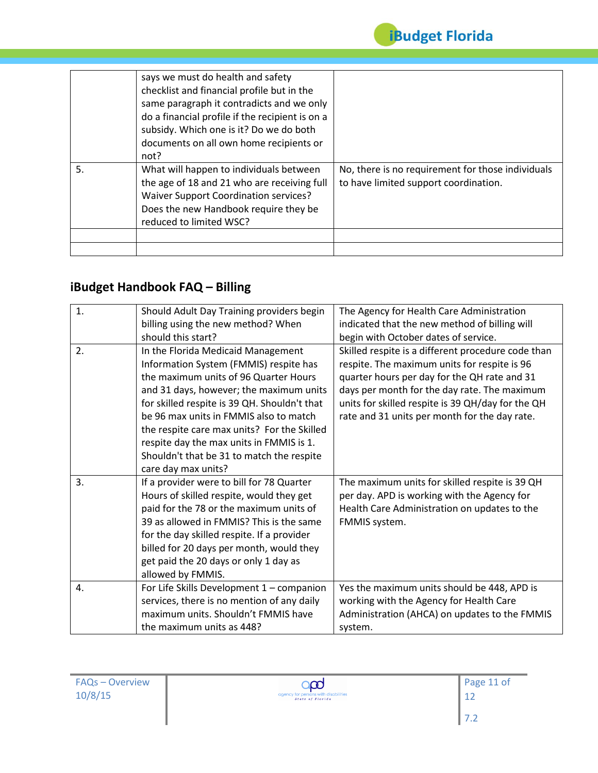

|    | says we must do health and safety<br>checklist and financial profile but in the<br>same paragraph it contradicts and we only<br>do a financial profile if the recipient is on a<br>subsidy. Which one is it? Do we do both<br>documents on all own home recipients or<br>not? |                                                                                            |
|----|-------------------------------------------------------------------------------------------------------------------------------------------------------------------------------------------------------------------------------------------------------------------------------|--------------------------------------------------------------------------------------------|
| 5. | What will happen to individuals between<br>the age of 18 and 21 who are receiving full<br><b>Waiver Support Coordination services?</b><br>Does the new Handbook require they be<br>reduced to limited WSC?                                                                    | No, there is no requirement for those individuals<br>to have limited support coordination. |

### **iBudget Handbook FAQ – Billing**

| $\mathbf{1}$ . | Should Adult Day Training providers begin    | The Agency for Health Care Administration          |
|----------------|----------------------------------------------|----------------------------------------------------|
|                | billing using the new method? When           | indicated that the new method of billing will      |
|                | should this start?                           | begin with October dates of service.               |
| 2.             | In the Florida Medicaid Management           | Skilled respite is a different procedure code than |
|                | Information System (FMMIS) respite has       | respite. The maximum units for respite is 96       |
|                | the maximum units of 96 Quarter Hours        | quarter hours per day for the QH rate and 31       |
|                | and 31 days, however; the maximum units      | days per month for the day rate. The maximum       |
|                | for skilled respite is 39 QH. Shouldn't that | units for skilled respite is 39 QH/day for the QH  |
|                | be 96 max units in FMMIS also to match       | rate and 31 units per month for the day rate.      |
|                | the respite care max units? For the Skilled  |                                                    |
|                | respite day the max units in FMMIS is 1.     |                                                    |
|                | Shouldn't that be 31 to match the respite    |                                                    |
|                | care day max units?                          |                                                    |
| 3.             | If a provider were to bill for 78 Quarter    | The maximum units for skilled respite is 39 QH     |
|                | Hours of skilled respite, would they get     | per day. APD is working with the Agency for        |
|                | paid for the 78 or the maximum units of      | Health Care Administration on updates to the       |
|                | 39 as allowed in FMMIS? This is the same     | FMMIS system.                                      |
|                | for the day skilled respite. If a provider   |                                                    |
|                | billed for 20 days per month, would they     |                                                    |
|                | get paid the 20 days or only 1 day as        |                                                    |
|                | allowed by FMMIS.                            |                                                    |
| 4.             | For Life Skills Development 1 - companion    | Yes the maximum units should be 448, APD is        |
|                | services, there is no mention of any daily   | working with the Agency for Health Care            |
|                | maximum units. Shouldn't FMMIS have          | Administration (AHCA) on updates to the FMMIS      |
|                | the maximum units as 448?                    | system.                                            |